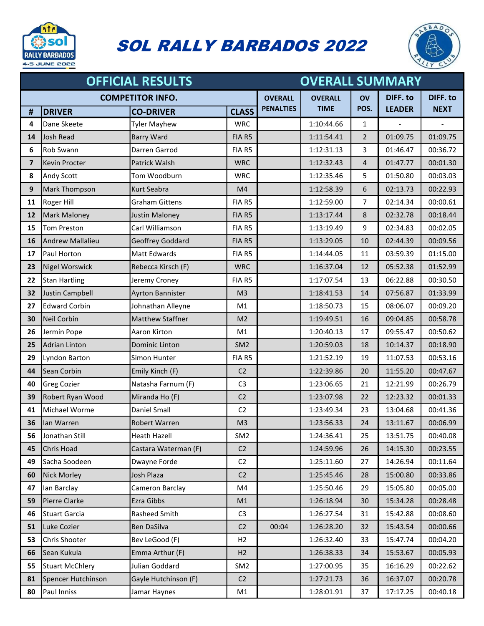

## SOL RALLY BARBADOS 2022



| <b>OFFICIAL RESULTS</b> |                      |                         |                 |                  | <b>OVERALL SUMMARY</b> |                |               |                 |  |
|-------------------------|----------------------|-------------------------|-----------------|------------------|------------------------|----------------|---------------|-----------------|--|
| <b>COMPETITOR INFO.</b> |                      |                         |                 | <b>OVERALL</b>   | <b>OVERALL</b>         | OV             | DIFF. to      | <b>DIFF. to</b> |  |
| #                       | <b>DRIVER</b>        | <b>CO-DRIVER</b>        | <b>CLASS</b>    | <b>PENALTIES</b> | <b>TIME</b>            | POS.           | <b>LEADER</b> | <b>NEXT</b>     |  |
| 4                       | Dane Skeete          | <b>Tyler Mayhew</b>     | <b>WRC</b>      |                  | 1:10:44.66             | $\mathbf{1}$   |               |                 |  |
| 14                      | Josh Read            | <b>Barry Ward</b>       | FIA R5          |                  | 1:11:54.41             | $2^{1}$        | 01:09.75      | 01:09.75        |  |
| 6                       | Rob Swann            | Darren Garrod           | FIA R5          |                  | 1:12:31.13             | 3              | 01:46.47      | 00:36.72        |  |
| $\overline{7}$          | Kevin Procter        | Patrick Walsh           | <b>WRC</b>      |                  | 1:12:32.43             | $\overline{4}$ | 01:47.77      | 00:01.30        |  |
| 8                       | Andy Scott           | Tom Woodburn            | <b>WRC</b>      |                  | 1:12:35.46             | 5              | 01:50.80      | 00:03.03        |  |
| 9                       | Mark Thompson        | Kurt Seabra             | M4              |                  | 1:12:58.39             | 6              | 02:13.73      | 00:22.93        |  |
| 11                      | Roger Hill           | <b>Graham Gittens</b>   | FIA R5          |                  | 1:12:59.00             | 7              | 02:14.34      | 00:00.61        |  |
| 12                      | <b>Mark Maloney</b>  | Justin Maloney          | FIA R5          |                  | 1:13:17.44             | 8              | 02:32.78      | 00:18.44        |  |
| 15                      | <b>Tom Preston</b>   | Carl Williamson         | FIA R5          |                  | 1:13:19.49             | 9              | 02:34.83      | 00:02.05        |  |
| 16                      | Andrew Mallalieu     | Geoffrey Goddard        | FIA R5          |                  | 1:13:29.05             | 10             | 02:44.39      | 00:09.56        |  |
| 17                      | Paul Horton          | Matt Edwards            | FIA R5          |                  | 1:14:44.05             | 11             | 03:59.39      | 01:15.00        |  |
| 23                      | Nigel Worswick       | Rebecca Kirsch (F)      | <b>WRC</b>      |                  | 1:16:37.04             | 12             | 05:52.38      | 01:52.99        |  |
| 22                      | <b>Stan Hartling</b> | Jeremy Croney           | FIA R5          |                  | 1:17:07.54             | 13             | 06:22.88      | 00:30.50        |  |
| 32                      | Justin Campbell      | <b>Ayrton Bannister</b> | M <sub>3</sub>  |                  | 1:18:41.53             | 14             | 07:56.87      | 01:33.99        |  |
| 27                      | <b>Edward Corbin</b> | Johnathan Alleyne       | M1              |                  | 1:18:50.73             | 15             | 08:06.07      | 00:09.20        |  |
| 30                      | Neil Corbin          | <b>Matthew Staffner</b> | M <sub>2</sub>  |                  | 1:19:49.51             | 16             | 09:04.85      | 00:58.78        |  |
| 26                      | Jermin Pope          | Aaron Kirton            | M1              |                  | 1:20:40.13             | 17             | 09:55.47      | 00:50.62        |  |
| 25                      | Adrian Linton        | Dominic Linton          | SM <sub>2</sub> |                  | 1:20:59.03             | 18             | 10:14.37      | 00:18.90        |  |
| 29                      | Lyndon Barton        | Simon Hunter            | FIA R5          |                  | 1:21:52.19             | 19             | 11:07.53      | 00:53.16        |  |
| 44                      | Sean Corbin          | Emily Kinch (F)         | C <sub>2</sub>  |                  | 1:22:39.86             | 20             | 11:55.20      | 00:47.67        |  |
| 40                      | Greg Cozier          | Natasha Farnum (F)      | C <sub>3</sub>  |                  | 1:23:06.65             | 21             | 12:21.99      | 00:26.79        |  |
| 39                      | Robert Ryan Wood     | Miranda Ho (F)          | C <sub>2</sub>  |                  | 1:23:07.98             | 22             | 12:23.32      | 00:01.33        |  |
| 41                      | Michael Worme        | <b>Daniel Small</b>     | C <sub>2</sub>  |                  | 1:23:49.34             | 23             | 13:04.68      | 00:41.36        |  |
| 36                      | lan Warren           | <b>Robert Warren</b>    | M <sub>3</sub>  |                  | 1:23:56.33             | 24             | 13:11.67      | 00:06.99        |  |
| 56                      | Jonathan Still       | Heath Hazell            | SM <sub>2</sub> |                  | 1:24:36.41             | 25             | 13:51.75      | 00:40.08        |  |
| 45                      | Chris Hoad           | Castara Waterman (F)    | C <sub>2</sub>  |                  | 1:24:59.96             | 26             | 14:15.30      | 00:23.55        |  |
| 49                      | Sacha Soodeen        | Dwayne Forde            | C <sub>2</sub>  |                  | 1:25:11.60             | 27             | 14:26.94      | 00:11.64        |  |
| 60                      | Nick Morley          | Josh Plaza              | C <sub>2</sub>  |                  | 1:25:45.46             | 28             | 15:00.80      | 00:33.86        |  |
| 47                      | lan Barclay          | Cameron Barclay         | M4              |                  | 1:25:50.46             | 29             | 15:05.80      | 00:05.00        |  |
| 59                      | Pierre Clarke        | Ezra Gibbs              | M1              |                  | 1:26:18.94             | 30             | 15:34.28      | 00:28.48        |  |
| 46                      | Stuart Garcia        | Rasheed Smith           | C <sub>3</sub>  |                  | 1:26:27.54             | 31             | 15:42.88      | 00:08.60        |  |
| 51                      | Luke Cozier          | Ben DaSilva             | C <sub>2</sub>  | 00:04            | 1:26:28.20             | 32             | 15:43.54      | 00:00.66        |  |
| 53                      | Chris Shooter        | Bev LeGood (F)          | H2              |                  | 1:26:32.40             | 33             | 15:47.74      | 00:04.20        |  |
| 66                      | Sean Kukula          | Emma Arthur (F)         | H <sub>2</sub>  |                  | 1:26:38.33             | 34             | 15:53.67      | 00:05.93        |  |
| 55                      | Stuart McChlery      | Julian Goddard          | SM <sub>2</sub> |                  | 1:27:00.95             | 35             | 16:16.29      | 00:22.62        |  |
| 81                      | Spencer Hutchinson   | Gayle Hutchinson (F)    | C <sub>2</sub>  |                  | 1:27:21.73             | 36             | 16:37.07      | 00:20.78        |  |
| 80                      | Paul Inniss          | Jamar Haynes            | M1              |                  | 1:28:01.91             | 37             | 17:17.25      | 00:40.18        |  |